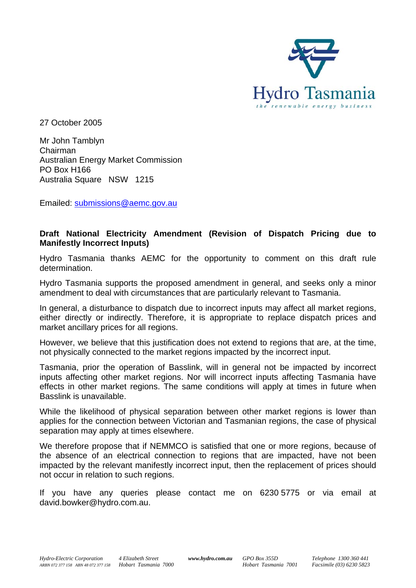

27 October 2005

Mr John Tamblyn Australian Energy Market Commission Australia Square NSW 1215 Chairman PO Box H166

Emailed: submissions@aemc.gov.au

## **Draft National Electricity Amendment (Revision of Dispatch Pricing due to Manifestly Incorrect Inputs)**

Hydro Tasmania thanks AEMC for the opportunity to comment on this draft rule determination.

Hydro Tasmania supports the proposed amendment in general, and seeks only a minor amendment to deal with circumstances that are particularly relevant to Tasmania.

either directly or indirectly. Therefore, it is appropriate to replace dispatch prices and In general, a disturbance to dispatch due to incorrect inputs may affect all market regions, market ancillary prices for all regions.

However, we believe that this justification does not extend to regions that are, at the time, not physically connected to the market regions impacted by the incorrect input.

effects in other market regions. The same conditions will apply at times in future when Tasmania, prior the operation of Basslink, will in general not be impacted by incorrect inputs affecting other market regions. Nor will incorrect inputs affecting Tasmania have Basslink is unavailable.

applies for the connection between Victorian and Tasmanian regions, the case of physical While the likelihood of physical separation between other market regions is lower than separation may apply at times elsewhere.

impacted by the relevant manifestly incorrect input, then the replacement of prices should not occur in relation to such regions. We therefore propose that if NEMMCO is satisfied that one or more regions, because of the absence of an electrical connection to regions that are impacted, have not been

If you have any queries please contact me on 6230 5775 or via email at david.bowker@hydro.com.au.